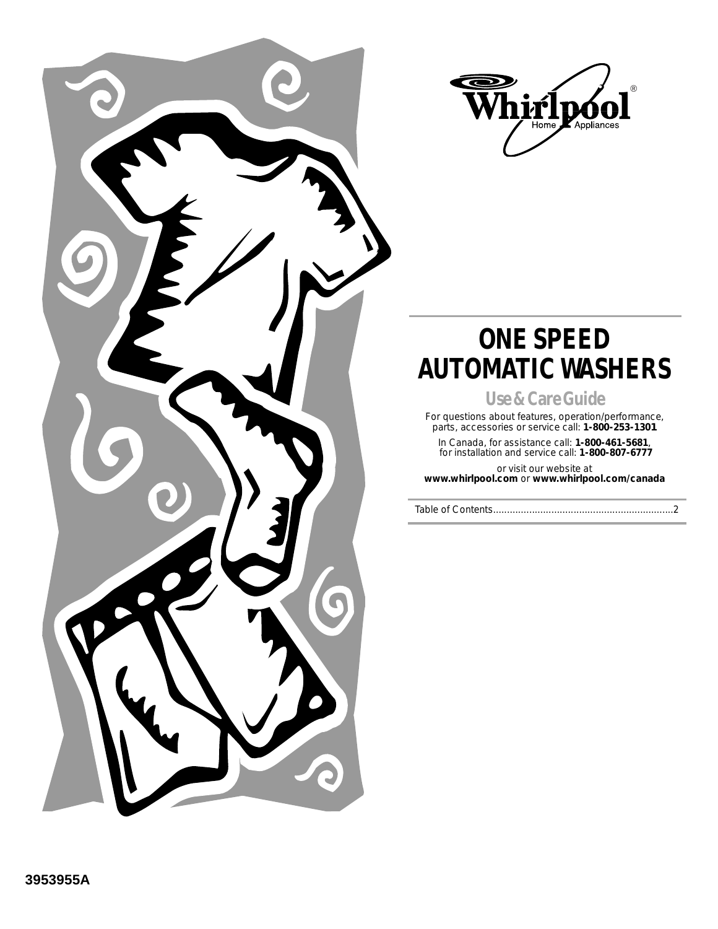



## **ONE SPEED AUTOMATIC WASHERS**

**Use & Care Guide**

For questions about features, operation/performance, parts, accessories or service call: **1-800-253-1301**

In Canada, for assistance call: **1-800-461-5681**, for installation and service call: **1-800-807-6777** 

or visit our website at **www.whirlpool.com** or **www.whirlpool.com/canada**

Table of Contents.................................................................2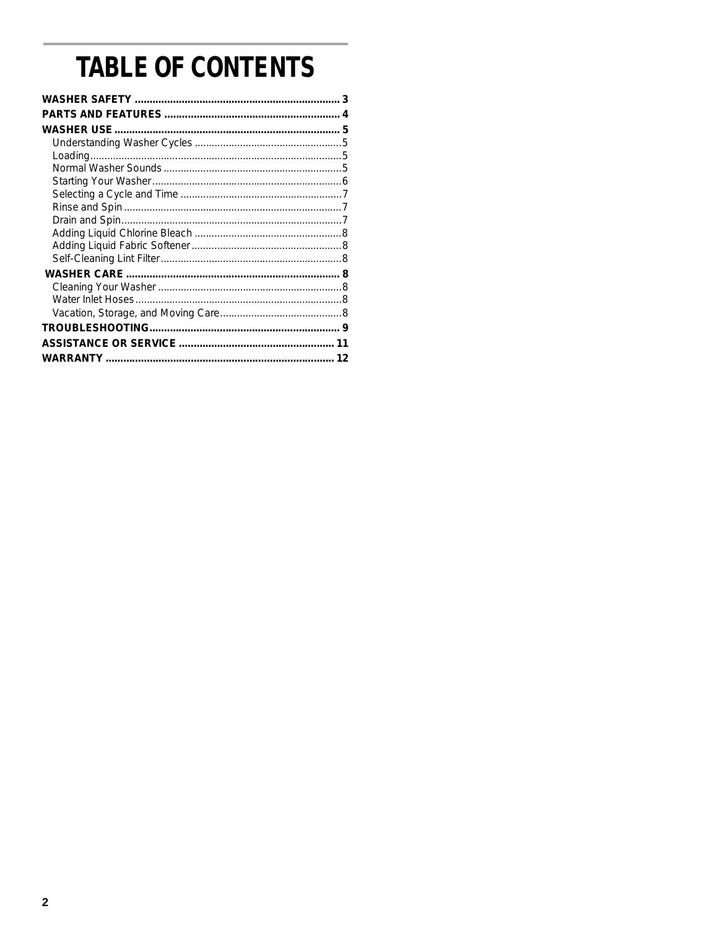# **TABLE OF CONTENTS**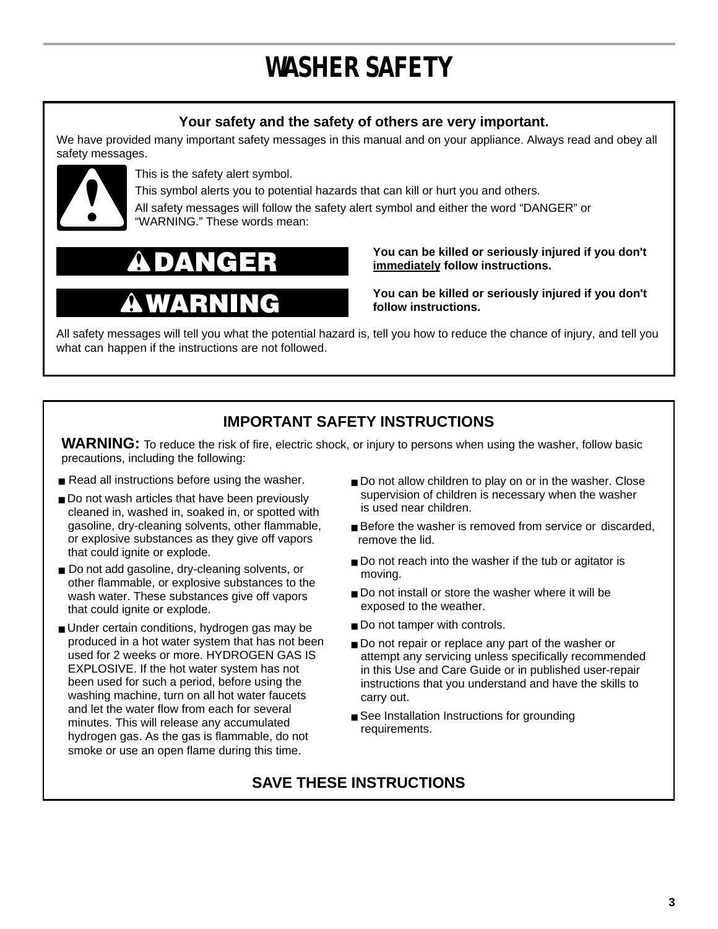# **WASHER SAFETY**

### **Your safety and the safety of others are very important.**

We have provided many important safety messages in this manual and on your appliance. Always read and obey all safety messages.



This is the safety alert symbol.

This symbol alerts you to potential hazards that can kill or hurt you and others. All safety messages will follow the safety alert symbol and either the word "DANGER" or "WARNING." These words mean:

**You can be killed or seriously injured if you don't immediately follow instructions.**

**You can be killed or seriously injured if you don't follow instructions.**

All safety messages will tell you what the potential hazard is, tell you how to reduce the chance of injury, and tell you what can happen if the instructions are not followed.

### **IMPORTANT SAFETY INSTRUCTIONS**

WARNING: To reduce the risk of fire, electric shock, or injury to persons when using the washer, follow basic precautions, including the following:

- Read all instructions before using the washer.
- Do not wash articles that have been previously cleaned in, washed in, soaked in, or spotted with gasoline, dry-cleaning solvents, other flammable, or explosive substances as they give off vapors that could ignite or explode.
- Do not add gasoline, dry-cleaning solvents, or other flammable, or explosive substances to the wash water. These substances give off vapors that could ignite or explode.
- Under certain conditions, hydrogen gas may be produced in a hot water system that has not been used for 2 weeks or more. HYDROGEN GAS IS EXPLOSIVE. If the hot water system has not been used for such a period, before using the washing machine, turn on all hot water faucets and let the water flow from each for several minutes. This will release any accumulated hydrogen gas. As the gas is flammable, do not smoke or use an open flame during this time.
- Do not allow children to play on or in the washer. Close supervision of children is necessary when the washer is used near children.
- Before the washer is removed from service or discarded, remove the lid.
- Do not reach into the washer if the tub or agitator is moving.
- Do not install or store the washer where it will be exposed to the weather.
- Do not tamper with controls.
- Do not repair or replace any part of the washer or attempt any servicing unless specifically recommended in this Use and Care Guide or in published user-repair instructions that you understand and have the skills to carry out.
- See Installation Instructions for grounding requirements.

### **SAVE THESE INSTRUCTIONS**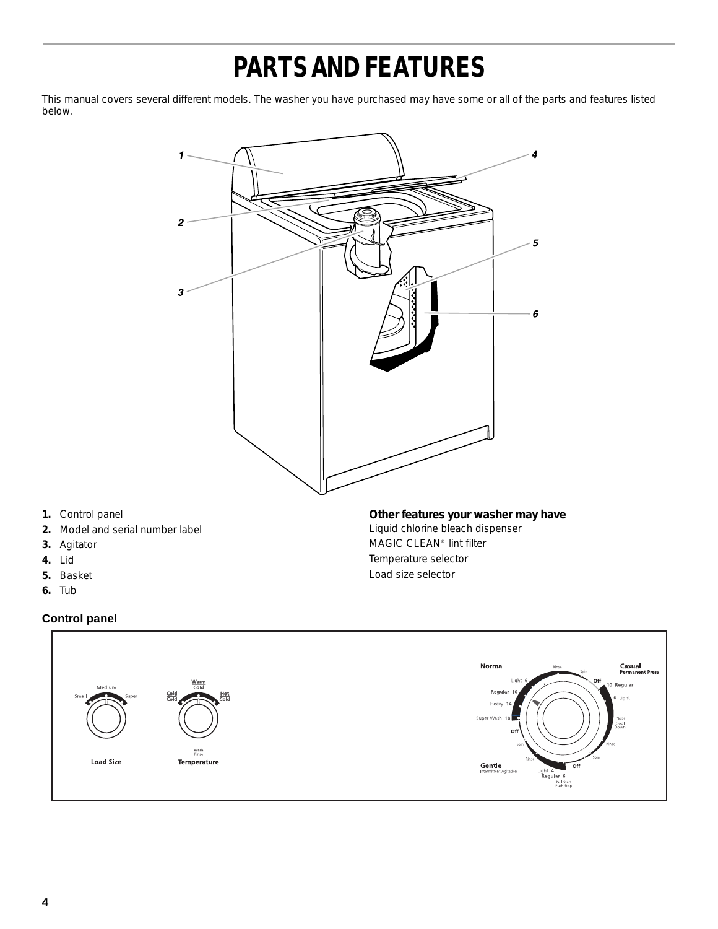## **PARTS AND FEATURES**

This manual covers several different models. The washer you have purchased may have some or all of the parts and features listed below.



- **1.** Control panel
- **2.** Model and serial number label
- **3.** Agitator
- **4.** Lid
- **5.** Basket
- **6.** Tub

### **Control panel**



Liquid chlorine bleach dispenser MAGIC CLEAN® lint filter Temperature selector Load size selector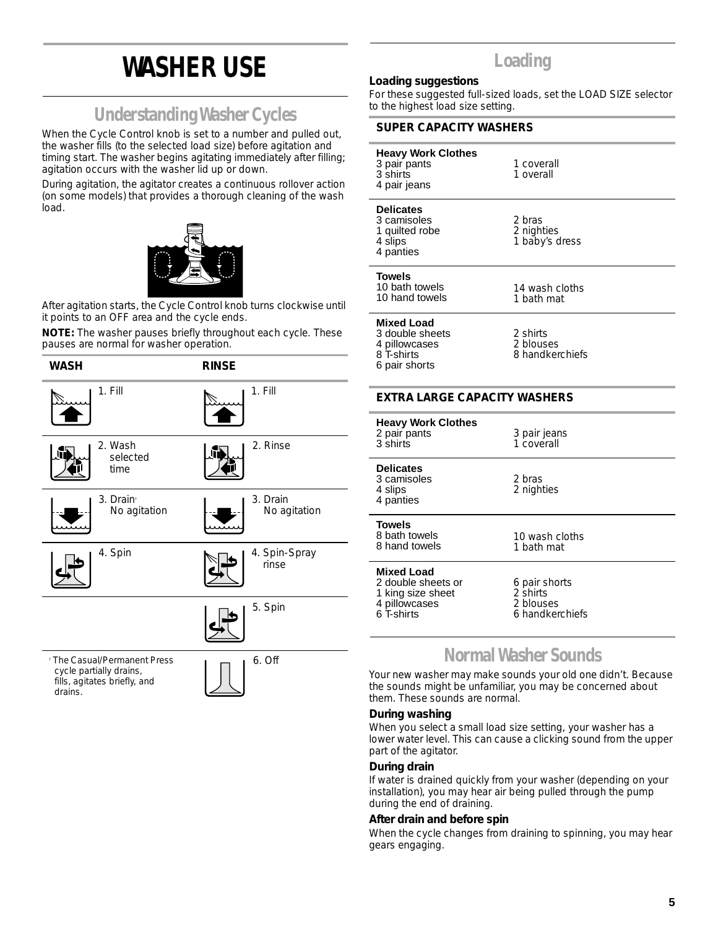## **WASHER USE**

### **Understanding Washer Cycles**

When the Cycle Control knob is set to a number and pulled out, the washer fills (to the selected load size) before agitation and timing start. The washer begins agitating immediately after filling; agitation occurs with the washer lid up or down.

During agitation, the agitator creates a continuous rollover action (on some models) that provides a thorough cleaning of the wash load.



After agitation starts, the Cycle Control knob turns clockwise until it points to an OFF area and the cycle ends.

**NOTE:** The washer pauses briefly throughout each cycle. These pauses are normal for washer operation.



## **Loading**

#### **Loading suggestions**

For these suggested full-sized loads, set the LOAD SIZE selector to the highest load size setting.

#### **SUPER CAPACITY WASHERS**

| <b>Heavy Work Clothes</b><br>3 pair pants<br>3 shirts<br>4 pair jeans                       | 1 coverall<br>1 overall                                   |  |
|---------------------------------------------------------------------------------------------|-----------------------------------------------------------|--|
| <b>Delicates</b><br>3 camisoles<br>1 quilted robe<br>4 slips<br>4 panties                   | 2 bras<br>2 nighties<br>1 baby's dress                    |  |
| Towels<br>10 bath towels<br>10 hand towels                                                  | 14 wash cloths<br>1 bath mat                              |  |
| Mixed Load<br>3 double sheets<br>4 pillowcases<br>8 T-shirts<br>6 pair shorts               | 2 shirts<br>2 blouses<br>8 handkerchiefs                  |  |
| <b>EXTRA LARGE CAPACITY WASHERS</b>                                                         |                                                           |  |
|                                                                                             |                                                           |  |
| <b>Heavy Work Clothes</b><br>2 pair pants<br>3 shirts                                       | 3 pair jeans<br>1 coverall                                |  |
| <b>Delicates</b><br>3 camisoles<br>4 slips<br>4 panties                                     | 2 bras<br>2 nighties                                      |  |
| Towels<br>8 bath towels<br>8 hand towels                                                    | 10 wash cloths<br>1 bath mat                              |  |
| <b>Mixed Load</b><br>2 double sheets or<br>1 king size sheet<br>4 pillowcases<br>6 T-shirts | 6 pair shorts<br>2 shirts<br>2 blouses<br>6 handkerchiefs |  |

### **Normal Washer Sounds**

Your new washer may make sounds your old one didn't. Because the sounds might be unfamiliar, you may be concerned about them. These sounds are normal.

#### **During washing**

When you select a small load size setting, your washer has a lower water level. This can cause a clicking sound from the upper part of the agitator.

#### **During drain**

If water is drained quickly from your washer (depending on your installation), you may hear air being pulled through the pump during the end of draining.

#### **After drain and before spin**

When the cycle changes from draining to spinning, you may hear gears engaging.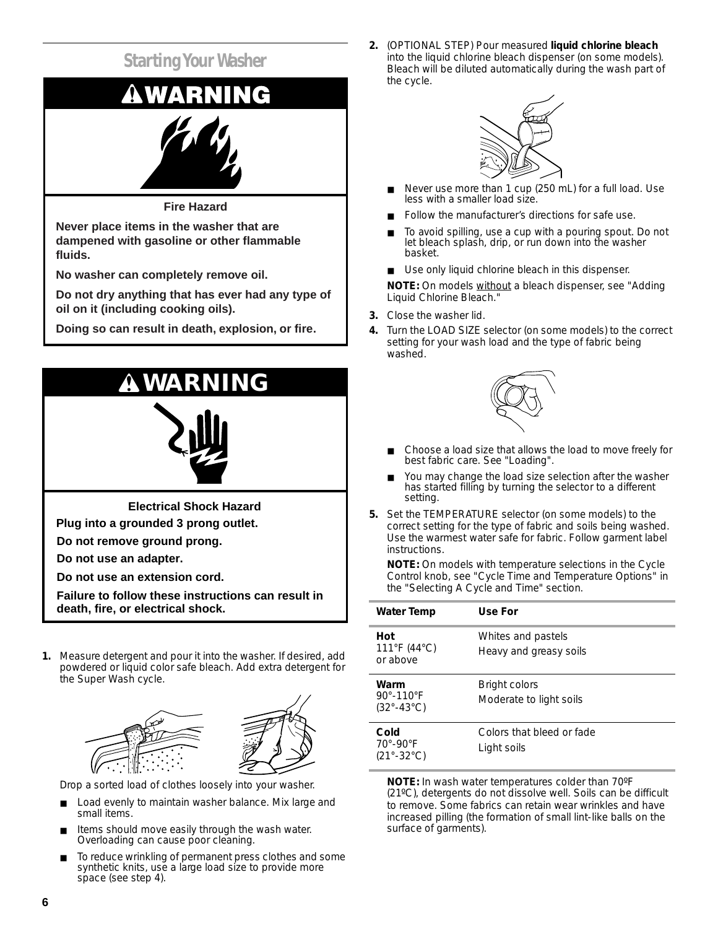

**Never place items in the washer that are dampened with gasoline or other flammable fluids.**

**No washer can completely remove oil.**

**Do not dry anything that has ever had any type of oil on it (including cooking oils).**

**Doing so can result in death, explosion, or fire.**



**Electrical Shock Hazard**

**Plug into a grounded 3 prong outlet.**

**Do not remove ground prong.**

**Do not use an adapter.**

**Do not use an extension cord.**

**Failure to follow these instructions can result in death, fire, or electrical shock.**

**1.** Measure detergent and pour it into the washer. If desired, add powdered or liquid color safe bleach. Add extra detergent for the Super Wash cycle.



Drop a sorted load of clothes loosely into your washer.

- Load evenly to maintain washer balance. Mix large and small items.
- Items should move easily through the wash water. Overloading can cause poor cleaning.
- To reduce wrinkling of permanent press clothes and some synthetic knits, use a large load size to provide more space (see step 4).

**2.** (OPTIONAL STEP) Pour measured **liquid chlorine bleach** into the liquid chlorine bleach dispenser (on some models). Bleach will be diluted automatically during the wash part of the cycle.



- Never use more than 1 cup (250 mL) for a full load. Use less with a smaller load size.
- Follow the manufacturer's directions for safe use.
- To avoid spilling, use a cup with a pouring spout. Do not let bleach splash, drip, or run down into the washer basket.
- Use only liquid chlorine bleach in this dispenser.

**NOTE:** On models without a bleach dispenser, see "Adding Liquid Chlorine Bleach."

- **3.** Close the washer lid.
- **4.** Turn the LOAD SIZE selector (on some models) to the correct setting for your wash load and the type of fabric being washed.



- Choose a load size that allows the load to move freely for best fabric care. See "Loading".
- You may change the load size selection after the washer has started filling by turning the selector to a different setting.
- **5.** Set the TEMPERATURE selector (on some models) to the correct setting for the type of fabric and soils being washed. Use the warmest water safe for fabric. Follow garment label instructions.

**NOTE:** On models with temperature selections in the Cycle Control knob, see "Cycle Time and Temperature Options" in the "Selecting A Cycle and Time" section.

| Water Temp                                                            | Use For                                         |
|-----------------------------------------------------------------------|-------------------------------------------------|
| Hot<br>$111^{\circ}$ F (44 $^{\circ}$ C)<br>or above                  | Whites and pastels<br>Heavy and greasy soils    |
| Warm<br>$90^{\circ} - 110^{\circ}$ F<br>$(32^{\circ} - 43^{\circ}C)$  | <b>Bright colors</b><br>Moderate to light soils |
| Cold<br>$70^{\circ}$ -90 $^{\circ}$ F<br>$(21^{\circ} - 32^{\circ}C)$ | Colors that bleed or fade<br>Light soils        |

**NOTE:** In wash water temperatures colder than 70ºF (21ºC), detergents do not dissolve well. Soils can be difficult to remove. Some fabrics can retain wear wrinkles and have increased pilling (the formation of small lint-like balls on the surface of garments).

**6**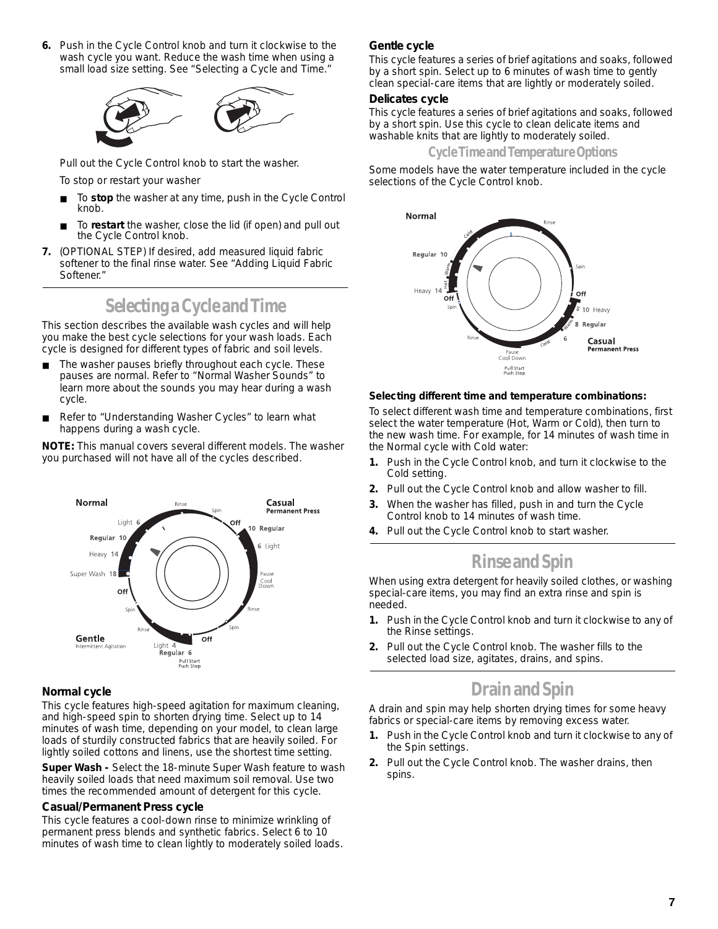**6.** Push in the Cycle Control knob and turn it clockwise to the wash cycle you want. Reduce the wash time when using a small load size setting. See "Selecting a Cycle and Time."



Pull out the Cycle Control knob to start the washer.

To stop or restart your washer

- To stop the washer at any time, push in the Cycle Control knob.
- To **restart** the washer, close the lid (if open) and pull out the Cycle Control knob.
- **7.** (OPTIONAL STEP) If desired, add measured liquid fabric softener to the final rinse water. See "Adding Liquid Fabric Softener."

### **Selecting a Cycle and Time**

This section describes the available wash cycles and will help you make the best cycle selections for your wash loads. Each cycle is designed for different types of fabric and soil levels.

- The washer pauses briefly throughout each cycle. These pauses are normal. Refer to "Normal Washer Sounds" to learn more about the sounds you may hear during a wash cycle.
- Refer to "Understanding Washer Cycles" to learn what happens during a wash cycle.

**NOTE:** This manual covers several different models. The washer you purchased will not have all of the cycles described.



#### **Normal cycle**

This cycle features high-speed agitation for maximum cleaning, and high-speed spin to shorten drying time. Select up to 14 minutes of wash time, depending on your model, to clean large loads of sturdily constructed fabrics that are heavily soiled. For lightly soiled cottons and linens, use the shortest time setting.

**Super Wash -** Select the 18-minute Super Wash feature to wash heavily soiled loads that need maximum soil removal. Use two times the recommended amount of detergent for this cycle.

#### **Casual/Permanent Press cycle**

This cycle features a cool-down rinse to minimize wrinkling of permanent press blends and synthetic fabrics. Select 6 to 10 minutes of wash time to clean lightly to moderately soiled loads.

#### **Gentle cycle**

This cycle features a series of brief agitations and soaks, followed by a short spin. Select up to 6 minutes of wash time to gently clean special-care items that are lightly or moderately soiled.

#### **Delicates cycle**

This cycle features a series of brief agitations and soaks, followed by a short spin. Use this cycle to clean delicate items and washable knits that are lightly to moderately soiled.

**Cycle Time and Temperature Options** 

Some models have the water temperature included in the cycle selections of the Cycle Control knob.



#### **Selecting different time and temperature combinations:**

To select different wash time and temperature combinations, first select the water temperature (Hot, Warm or Cold), then turn to the new wash time. For example, for 14 minutes of wash time in the Normal cycle with Cold water:

- **1.** Push in the Cycle Control knob, and turn it clockwise to the Cold setting.
- **2.** Pull out the Cycle Control knob and allow washer to fill.
- **3.** When the washer has filled, push in and turn the Cycle Control knob to 14 minutes of wash time.
- **4.** Pull out the Cycle Control knob to start washer.

### **Rinse and Spin**

When using extra detergent for heavily soiled clothes, or washing special-care items, you may find an extra rinse and spin is needed.

- **1.** Push in the Cycle Control knob and turn it clockwise to any of the Rinse settings.
- **2.** Pull out the Cycle Control knob. The washer fills to the selected load size, agitates, drains, and spins.

### **Drain and Spin**

A drain and spin may help shorten drying times for some heavy fabrics or special-care items by removing excess water.

- **1.** Push in the Cycle Control knob and turn it clockwise to any of the Spin settings.
- **2.** Pull out the Cycle Control knob. The washer drains, then spins.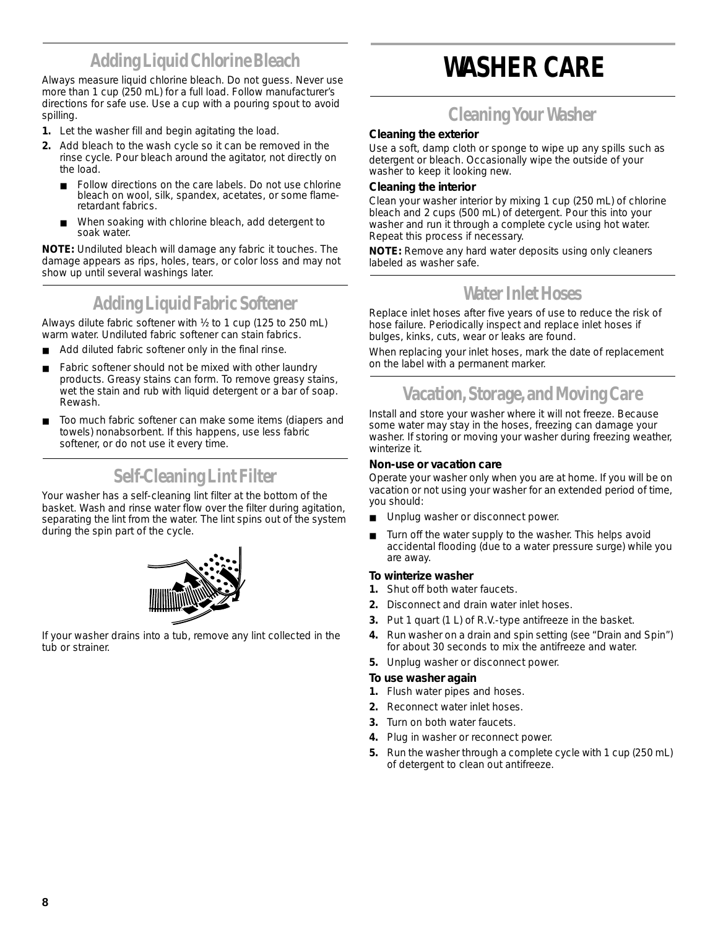## **Adding Liquid Chlorine Bleach**

Always measure liquid chlorine bleach. Do not guess. Never use more than 1 cup (250 mL) for a full load. Follow manufacturer's directions for safe use. Use a cup with a pouring spout to avoid spilling.

- **1.** Let the washer fill and begin agitating the load.
- **2.** Add bleach to the wash cycle so it can be removed in the rinse cycle. Pour bleach around the agitator, not directly on the load.
	- Follow directions on the care labels. Do not use chlorine bleach on wool, silk, spandex, acetates, or some flameretardant fabrics.
	- When soaking with chlorine bleach, add detergent to soak water.

**NOTE:** Undiluted bleach will damage any fabric it touches. The damage appears as rips, holes, tears, or color loss and may not show up until several washings later.

### **Adding Liquid Fabric Softener**

Always dilute fabric softener with ½ to 1 cup (125 to 250 mL) warm water. Undiluted fabric softener can stain fabrics.

- Add diluted fabric softener only in the final rinse.
- Fabric softener should not be mixed with other laundry products. Greasy stains can form. To remove greasy stains, wet the stain and rub with liquid detergent or a bar of soap. Rewash.
- Too much fabric softener can make some items (diapers and towels) nonabsorbent. If this happens, use less fabric softener, or do not use it every time.

### **Self-Cleaning Lint Filter**

Your washer has a self-cleaning lint filter at the bottom of the basket. Wash and rinse water flow over the filter during agitation, separating the lint from the water. The lint spins out of the system during the spin part of the cycle.



If your washer drains into a tub, remove any lint collected in the tub or strainer.

## **WASHER CARE**

### **Cleaning Your Washer**

#### **Cleaning the exterior**

Use a soft, damp cloth or sponge to wipe up any spills such as detergent or bleach. Occasionally wipe the outside of your washer to keep it looking new.

#### **Cleaning the interior**

Clean your washer interior by mixing 1 cup (250 mL) of chlorine bleach and 2 cups (500 mL) of detergent. Pour this into your washer and run it through a complete cycle using hot water. Repeat this process if necessary.

**NOTE:** Remove any hard water deposits using only cleaners labeled as washer safe.

### **Water Inlet Hoses**

Replace inlet hoses after five years of use to reduce the risk of hose failure. Periodically inspect and replace inlet hoses if bulges, kinks, cuts, wear or leaks are found.

When replacing your inlet hoses, mark the date of replacement on the label with a permanent marker.

### **Vacation, Storage, and Moving Care**

Install and store your washer where it will not freeze. Because some water may stay in the hoses, freezing can damage your washer. If storing or moving your washer during freezing weather, winterize it.

#### **Non-use or vacation care**

Operate your washer only when you are at home. If you will be on vacation or not using your washer for an extended period of time, you should:

- Unplug washer or disconnect power.
- Turn off the water supply to the washer. This helps avoid accidental flooding (due to a water pressure surge) while you are away.

#### **To winterize washer**

- **1.** Shut off both water faucets.
- **2.** Disconnect and drain water inlet hoses.
- **3.** Put 1 quart (1 L) of R.V.-type antifreeze in the basket.
- **4.** Run washer on a drain and spin setting (see "Drain and Spin") for about 30 seconds to mix the antifreeze and water.
- **5.** Unplug washer or disconnect power.

#### **To use washer again**

- **1.** Flush water pipes and hoses.
- **2.** Reconnect water inlet hoses.
- **3.** Turn on both water faucets.
- **4.** Plug in washer or reconnect power.
- **5.** Run the washer through a complete cycle with 1 cup (250 mL) of detergent to clean out antifreeze.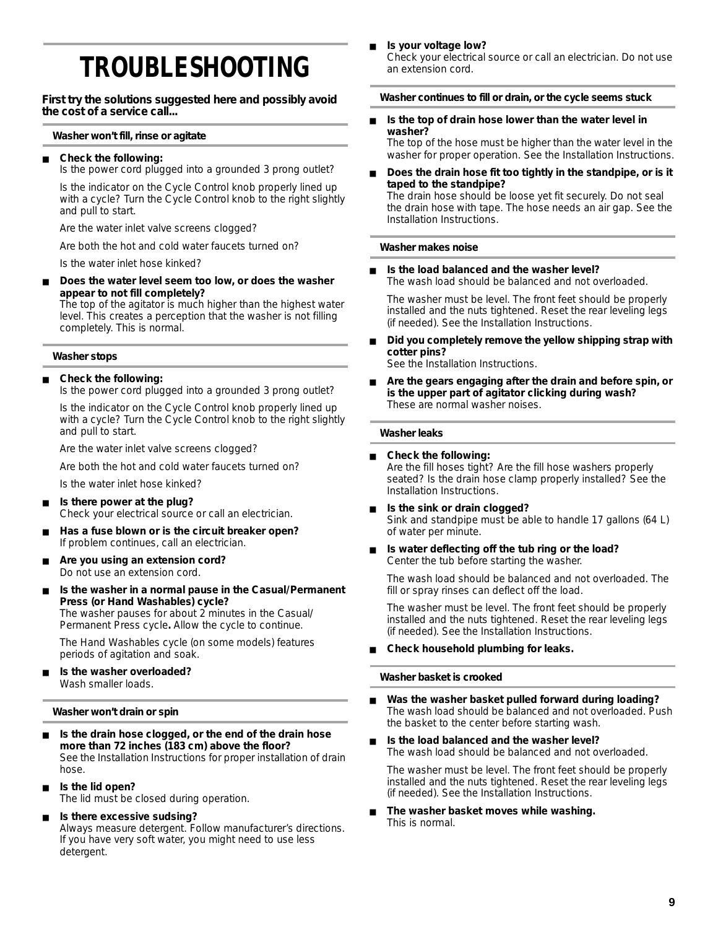## **TROUBLESHOOTING**

**First try the solutions suggested here and possibly avoid the cost of a service call...**

#### **Washer won't fill, rinse or agitate**

#### **Check the following:**

Is the power cord plugged into a grounded 3 prong outlet?

Is the indicator on the Cycle Control knob properly lined up with a cycle? Turn the Cycle Control knob to the right slightly and pull to start.

Are the water inlet valve screens clogged?

Are both the hot and cold water faucets turned on?

Is the water inlet hose kinked?

Does the water level seem too low, or does the washer **appear to not fill completely?**

The top of the agitator is much higher than the highest water level. This creates a perception that the washer is not filling completely. This is normal.

#### **Washer stops**

#### ■ **Check the following:**

Is the power cord plugged into a grounded 3 prong outlet?

Is the indicator on the Cycle Control knob properly lined up with a cycle? Turn the Cycle Control knob to the right slightly and pull to start.

Are the water inlet valve screens clogged?

Are both the hot and cold water faucets turned on?

Is the water inlet hose kinked?

- **Is there power at the plug?** Check your electrical source or call an electrician.
- Has a fuse blown or is the circuit breaker open? If problem continues, call an electrician.
- Are you using an extension cord? Do not use an extension cord.
- Is the washer in a normal pause in the Casual/Permanent **Press (or Hand Washables) cycle?** The washer pauses for about 2 minutes in the Casual/ Permanent Press cycle**.** Allow the cycle to continue.

The Hand Washables cycle (on some models) features periods of agitation and soak.

■ **Is the washer overloaded?** Wash smaller loads.

#### **Washer won't drain or spin**

- **Is the drain hose clogged, or the end of the drain hose more than 72 inches (183 cm) above the floor?** See the Installation Instructions for proper installation of drain hose.
- **Is the lid open?** The lid must be closed during operation.
- **Is there excessive sudsing?** Always measure detergent. Follow manufacturer's directions. If you have very soft water, you might need to use less detergent.

**Is your voltage low?** 

Check your electrical source or call an electrician. Do not use an extension cord.

#### **Washer continues to fill or drain, or the cycle seems stuck**

Is the top of drain hose lower than the water level in **washer?**

The top of the hose must be higher than the water level in the washer for proper operation. See the Installation Instructions.

Does the drain hose fit too tightly in the standpipe, or is it **taped to the standpipe?** The drain hose should be loose yet fit securely. Do not seal the drain hose with tape. The hose needs an air gap. See the Installation Instructions.

#### **Washer makes noise**

**Is the load balanced and the washer level?** The wash load should be balanced and not overloaded.

The washer must be level. The front feet should be properly installed and the nuts tightened. Reset the rear leveling legs (if needed). See the Installation Instructions.

Did you completely remove the yellow shipping strap with **cotter pins?**

See the Installation Instructions.

Are the gears engaging after the drain and before spin, or **is the upper part of agitator clicking during wash?** These are normal washer noises.

#### **Washer leaks**

- **Check the following:** Are the fill hoses tight? Are the fill hose washers properly seated? Is the drain hose clamp properly installed? See the Installation Instructions.
- Is the sink or drain clogged? Sink and standpipe must be able to handle 17 gallons (64 L) of water per minute.
- **Is water deflecting off the tub ring or the load?** Center the tub before starting the washer.

The wash load should be balanced and not overloaded. The fill or spray rinses can deflect off the load.

The washer must be level. The front feet should be properly installed and the nuts tightened. Reset the rear leveling legs (if needed). See the Installation Instructions.

#### **Check household plumbing for leaks.**

#### **Washer basket is crooked**

- Was the washer basket pulled forward during loading? The wash load should be balanced and not overloaded. Push the basket to the center before starting wash.
- **Is the load balanced and the washer level?** The wash load should be balanced and not overloaded.

The washer must be level. The front feet should be properly installed and the nuts tightened. Reset the rear leveling legs (if needed). See the Installation Instructions.

The washer basket moves while washing. This is normal.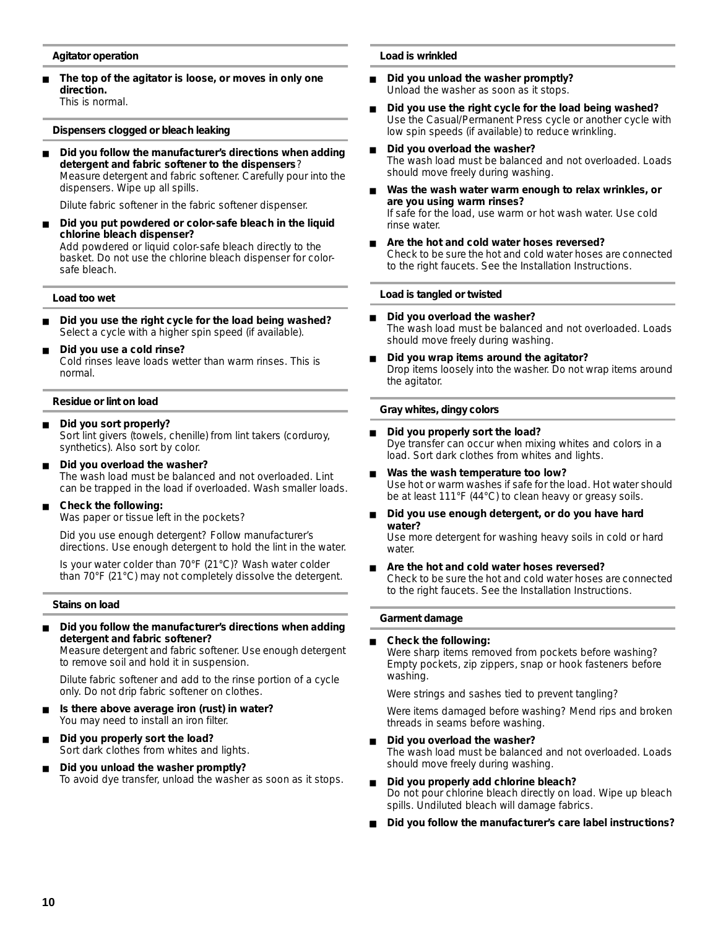#### **Agitator operation**

The top of the agitator is loose, or moves in only one **direction.** This is normal.

**Dispensers clogged or bleach leaking**

Did you follow the manufacturer's directions when adding **detergent and fabric softener to the dispensers**? Measure detergent and fabric softener. Carefully pour into the dispensers. Wipe up all spills.

Dilute fabric softener in the fabric softener dispenser.

■ **Did you put powdered or color-safe bleach in the liquid chlorine bleach dispenser?** Add powdered or liquid color-safe bleach directly to the basket. Do not use the chlorine bleach dispenser for colorsafe bleach.

#### **Load too wet**

- Did you use the right cycle for the load being washed? Select a cycle with a higher spin speed (if available).
- **Did you use a cold rinse?** Cold rinses leave loads wetter than warm rinses. This is normal.

#### **Residue or lint on load**

- **Did you sort properly?** Sort lint givers (towels, chenille) from lint takers (corduroy, synthetics). Also sort by color.
- **Did you overload the washer?** The wash load must be balanced and not overloaded. Lint can be trapped in the load if overloaded. Wash smaller loads.
- **Check the following:**

Was paper or tissue left in the pockets?

Did you use enough detergent? Follow manufacturer's directions. Use enough detergent to hold the lint in the water.

Is your water colder than 70°F (21°C)? Wash water colder than 70°F (21°C) may not completely dissolve the detergent.

#### **Stains on load**

Did you follow the manufacturer's directions when adding **detergent and fabric softener?**

Measure detergent and fabric softener. Use enough detergent to remove soil and hold it in suspension.

Dilute fabric softener and add to the rinse portion of a cycle only. Do not drip fabric softener on clothes.

- Is there above average iron (rust) in water? You may need to install an iron filter.
- Did you properly sort the load? Sort dark clothes from whites and lights.
- **Did you unload the washer promptly?** To avoid dye transfer, unload the washer as soon as it stops.

#### **Load is wrinkled**

- **Did you unload the washer promptly?** Unload the washer as soon as it stops.
- Did you use the right cycle for the load being washed? Use the Casual/Permanent Press cycle or another cycle with low spin speeds (if available) to reduce wrinkling.
- **Did you overload the washer?** The wash load must be balanced and not overloaded. Loads should move freely during washing.
- Was the wash water warm enough to relax wrinkles, or **are you using warm rinses?** If safe for the load, use warm or hot wash water. Use cold rinse water.
- Are the hot and cold water hoses reversed? Check to be sure the hot and cold water hoses are connected to the right faucets. See the Installation Instructions.

#### **Load is tangled or twisted**

- **Did you overload the washer?** The wash load must be balanced and not overloaded. Loads should move freely during washing.
- **Did you wrap items around the agitator?** Drop items loosely into the washer. Do not wrap items around the agitator.

#### **Gray whites, dingy colors**

- **Did you properly sort the load?** Dye transfer can occur when mixing whites and colors in a load. Sort dark clothes from whites and lights.
- Was the wash temperature too low? Use hot or warm washes if safe for the load. Hot water should be at least 111°F (44°C) to clean heavy or greasy soils.
- Did you use enough detergent, or do you have hard **water?**
	- Use more detergent for washing heavy soils in cold or hard water.
- Are the hot and cold water hoses reversed? Check to be sure the hot and cold water hoses are connected to the right faucets. See the Installation Instructions.

#### **Garment damage**

#### **Check the following:** Were sharp items removed from pockets before washing? Empty pockets, zip zippers, snap or hook fasteners before washing.

Were strings and sashes tied to prevent tangling?

Were items damaged before washing? Mend rips and broken threads in seams before washing.

- **Did you overload the washer?** The wash load must be balanced and not overloaded. Loads should move freely during washing.
- **Did you properly add chlorine bleach?** Do not pour chlorine bleach directly on load. Wipe up bleach spills. Undiluted bleach will damage fabrics.
- Did you follow the manufacturer's care label instructions?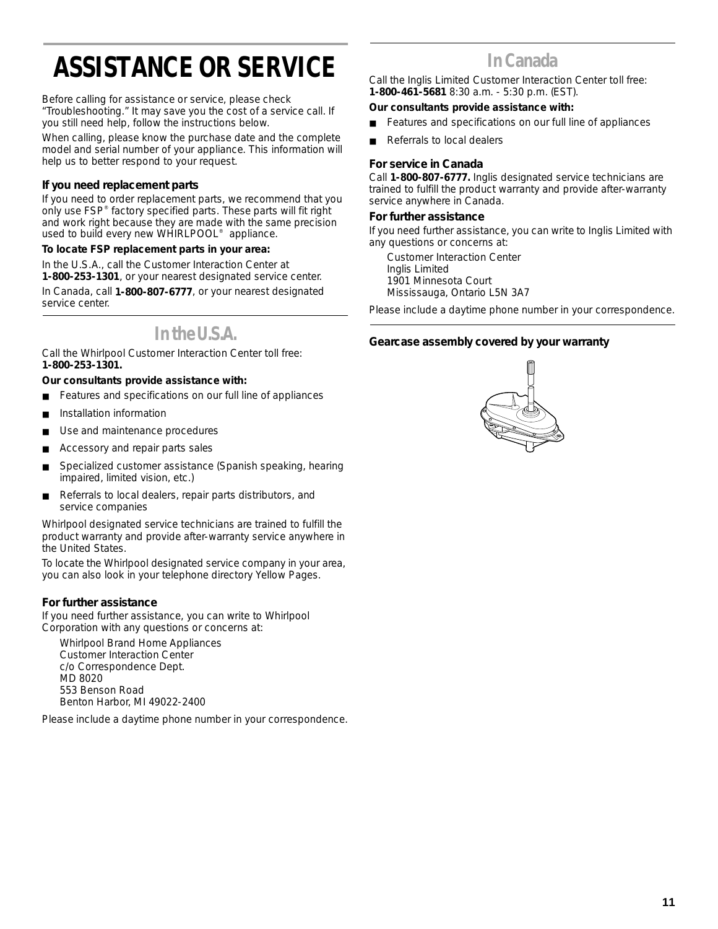# **ASSISTANCE OR SERVICE**

Before calling for assistance or service, please check "Troubleshooting." It may save you the cost of a service call. If you still need help, follow the instructions below.

When calling, please know the purchase date and the complete model and serial number of your appliance. This information will help us to better respond to your request.

#### **If you need replacement parts**

If you need to order replacement parts, we recommend that you only use FSP® factory specified parts. These parts will fit right and work right because they are made with the same precision used to build every new WHIRLPOOL® appliance.

#### **To locate FSP replacement parts in your area:**

In the U.S.A., call the Customer Interaction Center at **1-800-253-1301**, or your nearest designated service center.

In Canada, call **1-800-807-6777**, or your nearest designated service center.

### **In the U.S.A.**

Call the Whirlpool Customer Interaction Center toll free: **1-800-253-1301.**

#### **Our consultants provide assistance with:**

- Features and specifications on our full line of appliances
- Installation information
- Use and maintenance procedures
- Accessory and repair parts sales
- Specialized customer assistance (Spanish speaking, hearing impaired, limited vision, etc.)
- Referrals to local dealers, repair parts distributors, and service companies

Whirlpool designated service technicians are trained to fulfill the product warranty and provide after-warranty service anywhere in the United States.

To locate the Whirlpool designated service company in your area, you can also look in your telephone directory Yellow Pages.

#### **For further assistance**

If you need further assistance, you can write to Whirlpool Corporation with any questions or concerns at:

Whirlpool Brand Home Appliances Customer Interaction Center c/o Correspondence Dept. MD 8020 553 Benson Road Benton Harbor, MI 49022-2400

Please include a daytime phone number in your correspondence.

### **In Canada**

Call the Inglis Limited Customer Interaction Center toll free: **1-800-461-5681** 8:30 a.m. - 5:30 p.m. (EST).

#### **Our consultants provide assistance with:**

- Features and specifications on our full line of appliances
- Referrals to local dealers

#### **For service in Canada**

Call **1-800-807-6777.** Inglis designated service technicians are trained to fulfill the product warranty and provide after-warranty service anywhere in Canada.

#### **For further assistance**

If you need further assistance, you can write to Inglis Limited with any questions or concerns at:

Customer Interaction Center Inglis Limited 1901 Minnesota Court Mississauga, Ontario L5N 3A7

Please include a daytime phone number in your correspondence.

#### **Gearcase assembly covered by your warranty**